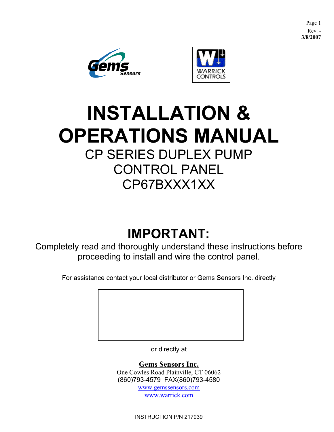Page 1 Rev. - **3/8/2007**





# **INSTALLATION & OPERATIONS MANUAL** CP SERIES DUPLEX PUMP CONTROL PANEL CP67BXXX1XX

# **IMPORTANT:**

Completely read and thoroughly understand these instructions before proceeding to install and wire the control panel.

For assistance contact your local distributor or Gems Sensors Inc. directly

or directly at

**Gems Sensors Inc.** One Cowles Road Plainville, CT 06062 (860)793-4579 FAX(860)793-4580

> [www.gemssensors.com](http://www.gemssensors.com/) [www.warrick.com](http://www.warrick.com/)

INSTRUCTION P/N 217939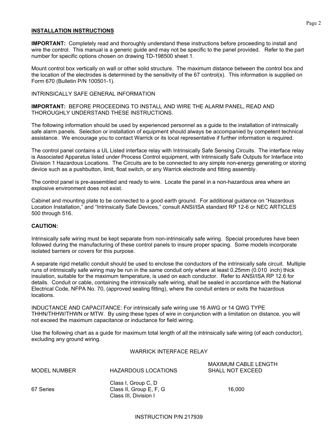#### **INSTALLATION INSTRUCTIONS**

**IMPORTANT:** Completely read and thoroughly understand these instructions before proceeding to install and wire the control. This manual is a generic guide and may not be specific to the panel provided. Refer to the part number for specific options chosen on drawing TD-198500 sheet 1.

Mount control box vertically on wall or other solid structure. The maximum distance between the control box and the location of the electrodes is determined by the sensitivity of the 67 control(s). This information is supplied on Form 670 (Bulletin P/N 100501-1).

#### INTRINSICALLY SAFE GENERAL INFORMATION

**IMPORTANT:** BEFORE PROCEEDING TO INSTALL AND WIRE THE ALARM PANEL, READ AND THOROUGHLY UNDERSTAND THESE INSTRUCTIONS.

The following information should be used by experienced personnel as a guide to the installation of intrinsically safe alarm panels. Selection or installation of equipment should always be accompanied by competent technical assistance. We encourage you to contact Warrick or its local representative if further information is required.

The control panel contains a UL Listed interface relay with Intrinsically Safe Sensing Circuits. The interface relay is Associated Apparatus listed under Process Control equipment, with Intrinsically Safe Outputs for Interface into Division 1 Hazardous Locations. The Circuits are to be connected to any simple non-energy generating or storing device such as a pushbutton, limit, float switch, or any Warrick electrode and fitting assembly.

The control panel is pre-assembled and ready to wire. Locate the panel in a non-hazardous area where an explosive environment does not exist.

Cabinet and mounting plate to be connected to a good earth ground. For additional guidance on "Hazardous Location Installation," and "Intrinsically Safe Devices," consult ANSI/ISA standard RP 12-6 or NEC ARTICLES 500 through 516.

#### **CAUTION:**

Intrinsically safe wiring must be kept separate from non-intrinsically safe wiring. Special procedures have been followed during the manufacturing of these control panels to insure proper spacing. Some models incorporate isolated barriers or covers for this purpose.

A separate rigid metallic conduit should be used to enclose the conductors of the intrinsically safe circuit. Multiple runs of intrinsically safe wiring may be run in the same conduit only where at least 0.25mm (0.010 inch) thick insulation, suitable for the maximum temperature, is used on each conductor. Refer to ANSI/ISA RP 12.6 for details. Conduit or cable, containing the intrinsically safe wiring, shall be sealed in accordance with the National Electrical Code, NFPA No. 70, (approved sealing fitting), where the conduit enters or exits the hazardous locations.

INDUCTANCE AND CAPACITANCE: For intrinsically safe wiring use 16 AWG or 14 QWG TYPE THHN/THHW/THWN or MTW. By using these types of wire in conjunction with a limitation on distance, you will not exceed the maximum capacitance or inductance for field wiring.

Use the following chart as a guide for maximum total length of all the intrinsically safe wiring (of each conductor), excluding any ground wiring.

#### WARRICK INTERFACE RELAY

| <b>MODEL NUMBER</b> | HAZARDOUS LOCATIONS | MAXIMUM CABLE LENGTH<br>SHALL NOT EXCEED |
|---------------------|---------------------|------------------------------------------|
|                     | Class I, Group C, D |                                          |

67 Series Class II, Group E, F, G 16,000 Class III, Division I

INSTRUCTION P/N 217939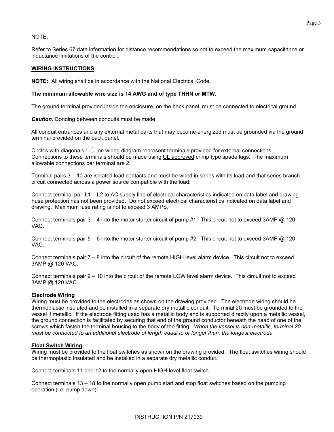# NOTE:

Refer to Series 67 data information for distance recommendations so not to exceed the maximum capacitance or inductance limitations of the control.

#### **WIRING INSTRUCTIONS**

**NOTE:** All wiring shall be in accordance with the National Electrical Code.

#### **The minimum allowable wire size is 14 AWG and of type THHN or MTW.**

The ground terminal provided inside the enclosure, on the back panel, must be connected to electrical ground.

*Caution:* Bonding between conduits must be made.

All conduit entrances and any external metal parts that may become energized must be grounded via the ground terminal provided on the back panel.

Circles with diagonals  $\oslash$  on wiring diagram represent terminals provided for external connections. Connections to these terminals should be made using UL approved crimp type spade lugs. The maximum allowable connections per terminal are 2.

Terminal pairs 3 – 10 are isolated load contacts and must be wired in series with its load and that series branch circuit connected across a power source compatible with the load.

Connect terminal pair L1 – L2 to AC supply line of electrical characteristics indicated on data label and drawing. Fuse protection has not been provided. Do not exceed electrical characteristics indicated on data label and drawing. Maximum fuse rating is not to exceed 3 AMPS.

Connect terminals pair  $3 - 4$  into the motor starter circuit of pump #1. This circuit not to exceed 3AMP  $@$  120 VAC.

Connect terminals pair 5 – 6 into the motor starter circuit of pump #2. This circuit not to exceed 3AMP @ 120 VAC.

Connect terminals pair 7 – 8 into the circuit of the remote HIGH level alarm device. This circuit not to exceed 3AMP @ 120 VAC.

Connect terminals pair 9 – 10 into the circuit of the remote LOW level alarm device. This circuit not to exceed 3AMP @ 120 VAC.

#### **Electrode Wiring**

Wiring must be provided to the electrodes as shown on the drawing provided. The electrode wiring should be thermoplastic insulated and be installed in a separate dry metallic conduit. Terminal 20 must be grounded to the vessel if metallic. If the electrode fitting used has a metallic body and is supported directly upon a metallic vessel, the ground connection is facilitated by securing that end of the ground conductor beneath the head of one of the screws which fasten the terminal housing to the body of the fitting. *When the vessel is non-metallic, terminal 20 must be connected to an additional electrode of length equal to or longer than, the longest electrode.* 

#### **Float Switch Wiring**

Wiring must be provided to the float switches as shown on the drawing provided. The float switches wiring should be thermoplastic insulated and be installed in a separate dry metallic conduit.

Connect terminals 11 and 12 to the normally open HIGH level float switch.

Connect terminals 13 – 18 to the normally open pump start and stop float switches based on the pumping operation (i.e. pump down).